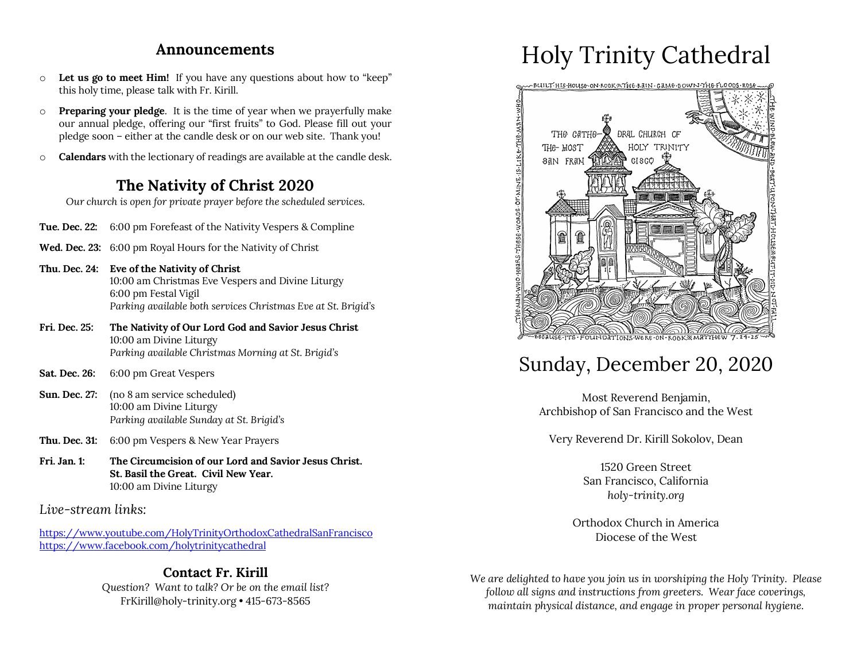### **Announcements**

- o **Let us go to meet Him!** If you have any questions about how to "keep" this holy time, please talk with Fr. Kirill.
- o **Preparing your pledge**. It is the time of year when we prayerfully make our annual pledge, offering our "first fruits" to God. Please fill out your pledge soon – either at the candle desk or on our web site. Thank you!
- o **Calendars** with the lectionary of readings are available at the candle desk.

### **The Nativity of Christ 2020**

*Our church is open for private prayer before the scheduled services.*

- **Tue. Dec. 22:** 6:00 pm Forefeast of the Nativity Vespers & Compline
- **Wed. Dec. 23:** 6:00 pm Royal Hours for the Nativity of Christ
- **Thu. Dec. 24: Eve of the Nativity of Christ** 10:00 am Christmas Eve Vespers and Divine Liturgy 6:00 pm Festal Vigil *Parking available both services Christmas Eve at St. Brigid's*
- **Fri. Dec. 25: The Nativity of Our Lord God and Savior Jesus Christ** 10:00 am Divine Liturgy *Parking available Christmas Morning at St. Brigid's*
- **Sat. Dec. 26:** 6:00 pm Great Vespers
- **Sun. Dec. 27:** (no 8 am service scheduled) 10:00 am Divine Liturgy *Parking available Sunday at St. Brigid's*
- **Thu. Dec. 31:** 6:00 pm Vespers & New Year Prayers
- **Fri. Jan. 1: The Circumcision of our Lord and Savior Jesus Christ. St. Basil the Great. Civil New Year.** 10:00 am Divine Liturgy

*Live-stream links:*

https://www.youtube.com/HolyTrinityOrthodoxCathedralSanFrancisco https://www.facebook.com/holytrinitycathedral

### **Contact Fr. Kirill**

*Question? Want to talk? Or be on the email list?* FrKirill@holy-trinity.org • 415-673-8565

# Holy Trinity Cathedral



# Sunday, December 20, 2020

Most Reverend Benjamin, Archbishop of San Francisco and the West

Very Reverend Dr. Kirill Sokolov, Dean

1520 Green Street San Francisco, California *holy-trinity.org*

Orthodox Church in America Diocese of the West

*We are delighted to have you join us in worshiping the Holy Trinity. Please follow all signs and instructions from greeters. Wear face coverings, maintain physical distance, and engage in proper personal hygiene.*